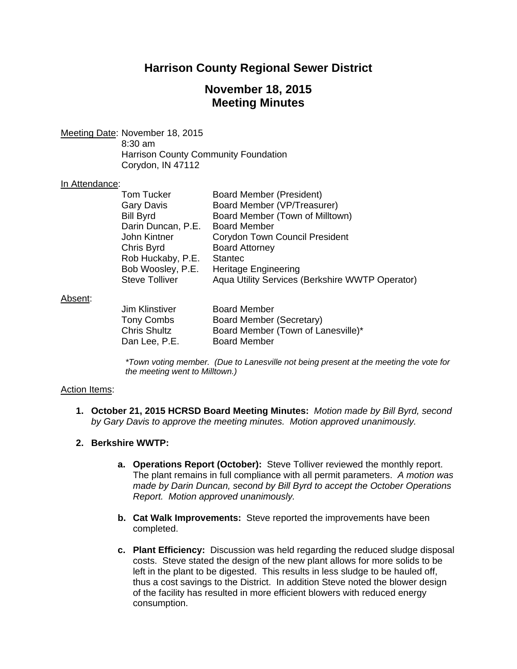# **Harrison County Regional Sewer District**

# **November 18, 2015 Meeting Minutes**

Meeting Date: November 18, 2015

 8:30 am Harrison County Community Foundation Corydon, IN 47112

#### In Attendance:

| <b>Board Member (President)</b>                 |
|-------------------------------------------------|
| Board Member (VP/Treasurer)                     |
| Board Member (Town of Milltown)                 |
| <b>Board Member</b>                             |
| <b>Corydon Town Council President</b>           |
| <b>Board Attorney</b>                           |
| <b>Stantec</b>                                  |
| <b>Heritage Engineering</b>                     |
| Aqua Utility Services (Berkshire WWTP Operator) |
|                                                 |

#### Absent:

| Jim Klinstiver    | <b>Board Member</b>                |
|-------------------|------------------------------------|
| <b>Tony Combs</b> | Board Member (Secretary)           |
| Chris Shultz      | Board Member (Town of Lanesville)* |
| Dan Lee, P.E.     | <b>Board Member</b>                |
|                   |                                    |

*\*Town voting member. (Due to Lanesville not being present at the meeting the vote for the meeting went to Milltown.)* 

### Action Items:

- **1. October 21, 2015 HCRSD Board Meeting Minutes:** *Motion made by Bill Byrd, second by Gary Davis to approve the meeting minutes. Motion approved unanimously.*
- **2. Berkshire WWTP:**
	- **a. Operations Report (October):** Steve Tolliver reviewed the monthly report. The plant remains in full compliance with all permit parameters. *A motion was made by Darin Duncan, second by Bill Byrd to accept the October Operations Report. Motion approved unanimously.*
	- **b. Cat Walk Improvements:** Steve reported the improvements have been completed.
	- **c. Plant Efficiency:** Discussion was held regarding the reduced sludge disposal costs. Steve stated the design of the new plant allows for more solids to be left in the plant to be digested. This results in less sludge to be hauled off, thus a cost savings to the District. In addition Steve noted the blower design of the facility has resulted in more efficient blowers with reduced energy consumption.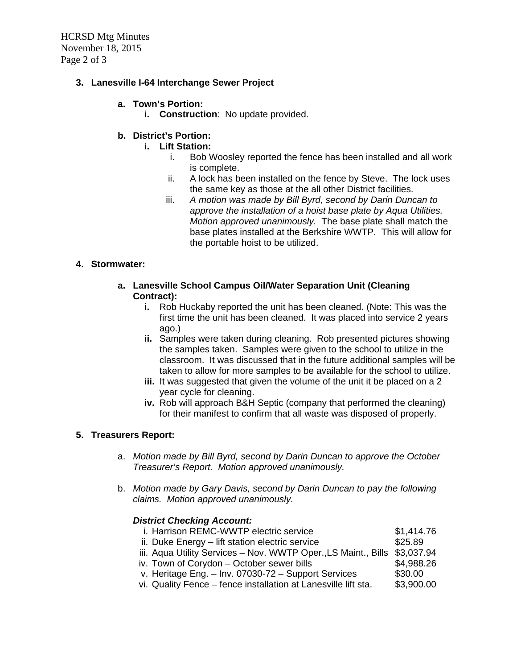HCRSD Mtg Minutes November 18, 2015 Page 2 of 3

## **3. Lanesville I-64 Interchange Sewer Project**

### **a. Town's Portion:**

**i. Construction**: No update provided.

## **b. District's Portion:**

- **i. Lift Station:**
	- i. Bob Woosley reported the fence has been installed and all work is complete.
	- ii. A lock has been installed on the fence by Steve. The lock uses the same key as those at the all other District facilities.
	- iii. *A motion was made by Bill Byrd, second by Darin Duncan to approve the installation of a hoist base plate by Aqua Utilities. Motion approved unanimously.* The base plate shall match the base plates installed at the Berkshire WWTP. This will allow for the portable hoist to be utilized.

### **4. Stormwater:**

- **a. Lanesville School Campus Oil/Water Separation Unit (Cleaning Contract):**
	- **i.** Rob Huckaby reported the unit has been cleaned. (Note: This was the first time the unit has been cleaned. It was placed into service 2 years ago.)
	- **ii.** Samples were taken during cleaning. Rob presented pictures showing the samples taken. Samples were given to the school to utilize in the classroom. It was discussed that in the future additional samples will be taken to allow for more samples to be available for the school to utilize.
	- **iii.** It was suggested that given the volume of the unit it be placed on a 2 year cycle for cleaning.
	- **iv.** Rob will approach B&H Septic (company that performed the cleaning) for their manifest to confirm that all waste was disposed of properly.

#### **5. Treasurers Report:**

- a. *Motion made by Bill Byrd, second by Darin Duncan to approve the October Treasurer's Report. Motion approved unanimously.*
- b. *Motion made by Gary Davis, second by Darin Duncan to pay the following claims. Motion approved unanimously.*

### *District Checking Account:*

- i. Harrison REMC-WWTP electric service \$1,414.76 ii. Duke Energy – lift station electric service **\$25.89** iii. Aqua Utility Services – Nov. WWTP Oper.,LS Maint., Bills \$3,037.94 iv. Town of Corydon – October sewer bills  $$4,988.26$ v. Heritage Eng.  $-$  Inv. 07030-72  $-$  Support Services  $$30.00$
- vi. Quality Fence fence installation at Lanesville lift sta. \$3,900.00